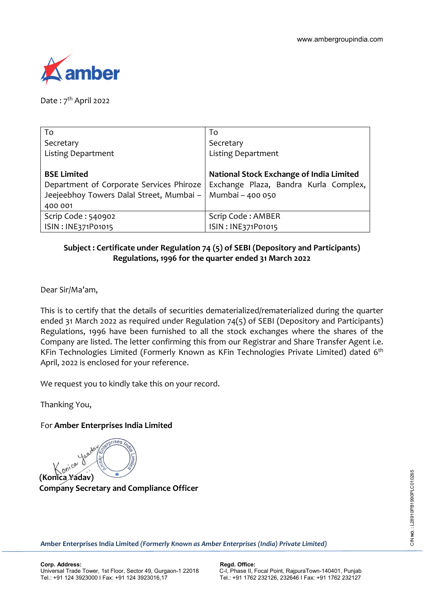

Date:  $7<sup>th</sup>$  April 2022

| To                                       | To                                       |
|------------------------------------------|------------------------------------------|
| Secretary                                | Secretary                                |
| <b>Listing Department</b>                | <b>Listing Department</b>                |
|                                          |                                          |
| <b>BSE Limited</b>                       | National Stock Exchange of India Limited |
| Department of Corporate Services Phiroze | Exchange Plaza, Bandra Kurla Complex,    |
| Jeejeebhoy Towers Dalal Street, Mumbai - | Mumbai - 400 050                         |
| 400 001                                  |                                          |
| Scrip Code: 540902                       | Scrip Code: AMBER                        |
| ISIN: INE371P01015                       | ISIN: INE371P01015                       |

## **Subject : Certificate under Regulation 74 (5) of SEBI (Depository and Participants) Regulations, 1996 for the quarter ended 31 March 2022**

Dear Sir/Ma'am,

This is to certify that the details of securities dematerialized/rematerialized during the quarter ended 31 March 2022 as required under Regulation 74(5) of SEBI (Depository and Participants) Regulations, 1996 have been furnished to all the stock exchanges where the shares of the Company are listed. The letter confirming this from our Registrar and Share Transfer Agent i.e. KFin Technologies Limited (Formerly Known as KFin Technologies Private Limited) dated 6<sup>th</sup> April, 2022 is enclosed for your reference.

We request you to kindly take this on your record.

Thanking You,

## For **Amber Enterprises India Limited**

**(Konica Yadav)**

**Company Secretary and Compliance Officer**

**Amber Enterprises India Limited** *(Formerly Known as Amber Enterprises (India) Private Limited)*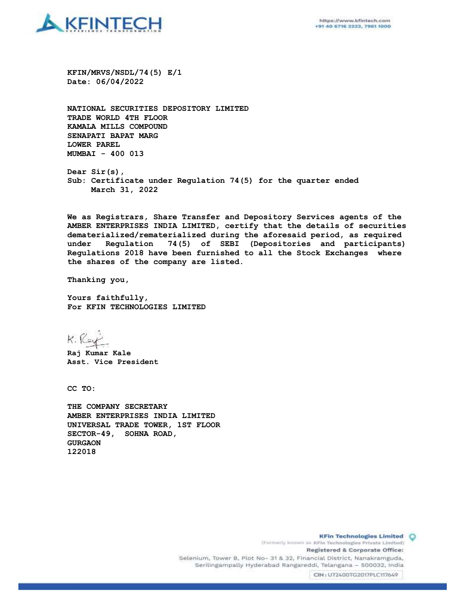

**KFIN/MRVS/NSDL/74(5) E/1 Date: 06/04/2022**

**NATIONAL SECURITIES DEPOSITORY LIMITED TRADE WORLD 4TH FLOOR KAMALA MILLS COMPOUND SENAPATI BAPAT MARG LOWER PAREL MUMBAI - 400 013**

**Dear Sir(s), Sub: Certificate under Regulation 74(5) for the quarter ended March 31, 2022**

**We as Registrars, Share Transfer and Depository Services agents of the AMBER ENTERPRISES INDIA LIMITED, certify that the details of securities dematerialized/rematerialized during the aforesaid period, as required under Regulation 74(5) of SEBI (Depositories and participants) Regulations 2018 have been furnished to all the Stock Exchanges where the shares of the company are listed.** 

**Thanking you,**

**Yours faithfully, For KFIN TECHNOLOGIES LIMITED**

K. Rey

**Raj Kumar Kale Asst. Vice President**

**CC TO:**

**THE COMPANY SECRETARY AMBER ENTERPRISES INDIA LIMITED UNIVERSAL TRADE TOWER, 1ST FLOOR SECTOR-49, SOHNA ROAD, GURGAON 122018**

> **KFin Technologies Limited O** (Formerly known as KFin Technologies Private Limited) Registered & Corporate Office: Selenium, Tower B, Plot No- 31 & 32, Financial District, Nanakramguda, Serilingampally Hyderabad Rangareddi, Telangana - 500032, India

CIN: U72400TG2017PLC117649